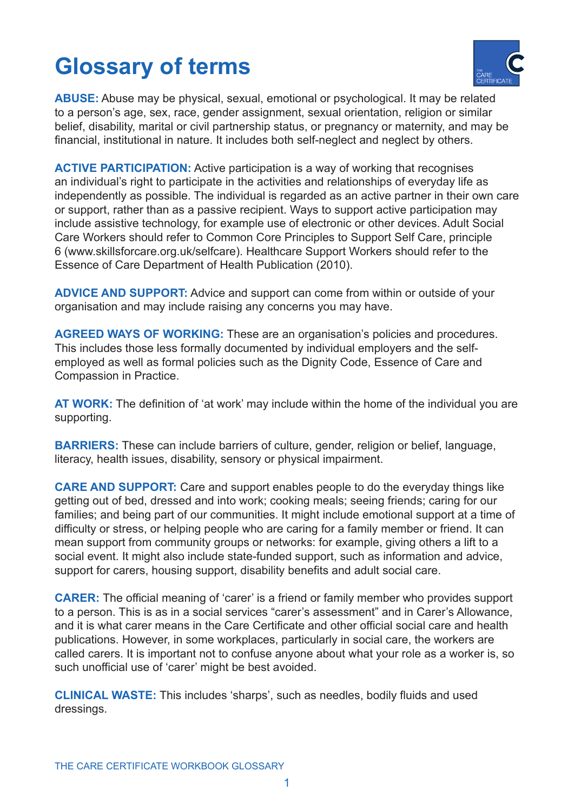## **Glossary of terms**



**ABUSE:** Abuse may be physical, sexual, emotional or psychological. It may be related to a person's age, sex, race, gender assignment, sexual orientation, religion or similar belief, disability, marital or civil partnership status, or pregnancy or maternity, and may be financial, institutional in nature. It includes both self-neglect and neglect by others.

**ACTIVE PARTICIPATION:** Active participation is a way of working that recognises an individual's right to participate in the activities and relationships of everyday life as independently as possible. The individual is regarded as an active partner in their own care or support, rather than as a passive recipient. Ways to support active participation may include assistive technology, for example use of electronic or other devices. Adult Social Care Workers should refer to Common Core Principles to Support Self Care, principle 6 (www.skillsforcare.org.uk/selfcare). Healthcare Support Workers should refer to the Essence of Care Department of Health Publication (2010).

**ADVICE AND SUPPORT:** Advice and support can come from within or outside of your organisation and may include raising any concerns you may have.

**AGREED WAYS OF WORKING:** These are an organisation's policies and procedures. This includes those less formally documented by individual employers and the selfemployed as well as formal policies such as the Dignity Code, Essence of Care and Compassion in Practice.

**AT WORK:** The definition of 'at work' may include within the home of the individual you are supporting.

**BARRIERS:** These can include barriers of culture, gender, religion or belief, language, literacy, health issues, disability, sensory or physical impairment.

**CARE AND SUPPORT:** Care and support enables people to do the everyday things like getting out of bed, dressed and into work; cooking meals; seeing friends; caring for our families; and being part of our communities. It might include emotional support at a time of difficulty or stress, or helping people who are caring for a family member or friend. It can mean support from community groups or networks: for example, giving others a lift to a social event. It might also include state-funded support, such as information and advice, support for carers, housing support, disability benefits and adult social care.

**CARER:** The official meaning of 'carer' is a friend or family member who provides support to a person. This is as in a social services "carer's assessment" and in Carer's Allowance, and it is what carer means in the Care Certificate and other official social care and health publications. However, in some workplaces, particularly in social care, the workers are called carers. It is important not to confuse anyone about what your role as a worker is, so such unofficial use of 'carer' might be best avoided.

**CLINICAL WASTE:** This includes 'sharps', such as needles, bodily fluids and used dressings.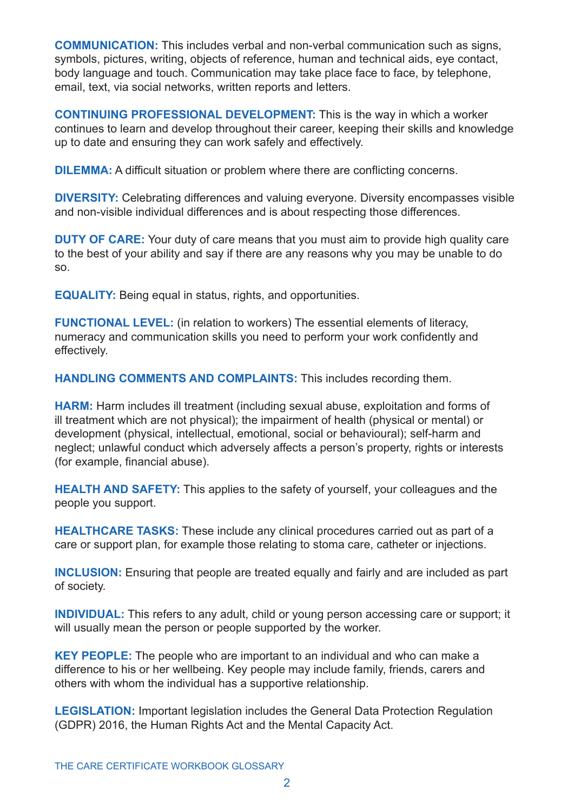**COMMUNICATION:** This includes verbal and non-verbal communication such as signs, symbols, pictures, writing, objects of reference, human and technical aids, eye contact, body language and touch. Communication may take place face to face, by telephone, email, text, via social networks, written reports and letters.

**CONTINUING PROFESSIONAL DEVELOPMENT:** This is the way in which a worker continues to learn and develop throughout their career, keeping their skills and knowledge up to date and ensuring they can work safely and effectively.

**DILEMMA:** A difficult situation or problem where there are conflicting concerns.

**DIVERSITY:** Celebrating differences and valuing everyone. Diversity encompasses visible and non-visible individual differences and is about respecting those differences.

**DUTY OF CARE:** Your duty of care means that you must aim to provide high quality care to the best of your ability and say if there are any reasons why you may be unable to do so.

**EQUALITY:** Being equal in status, rights, and opportunities.

**FUNCTIONAL LEVEL:** (in relation to workers) The essential elements of literacy, numeracy and communication skills you need to perform your work confidently and effectively.

**HANDLING COMMENTS AND COMPLAINTS:** This includes recording them.

**HARM:** Harm includes ill treatment (including sexual abuse, exploitation and forms of ill treatment which are not physical); the impairment of health (physical or mental) or development (physical, intellectual, emotional, social or behavioural); self-harm and neglect; unlawful conduct which adversely affects a person's property, rights or interests (for example, financial abuse).

**HEALTH AND SAFETY:** This applies to the safety of yourself, your colleagues and the people you support.

**HEALTHCARE TASKS:** These include any clinical procedures carried out as part of a care or support plan, for example those relating to stoma care, catheter or injections.

**INCLUSION:** Ensuring that people are treated equally and fairly and are included as part of society.

**INDIVIDUAL:** This refers to any adult, child or young person accessing care or support; it will usually mean the person or people supported by the worker.

**KEY PEOPLE:** The people who are important to an individual and who can make a difference to his or her wellbeing. Key people may include family, friends, carers and others with whom the individual has a supportive relationship.

**LEGISLATION:** Important legislation includes the General Data Protection Regulation (GDPR) 2016, the Human Rights Act and the Mental Capacity Act.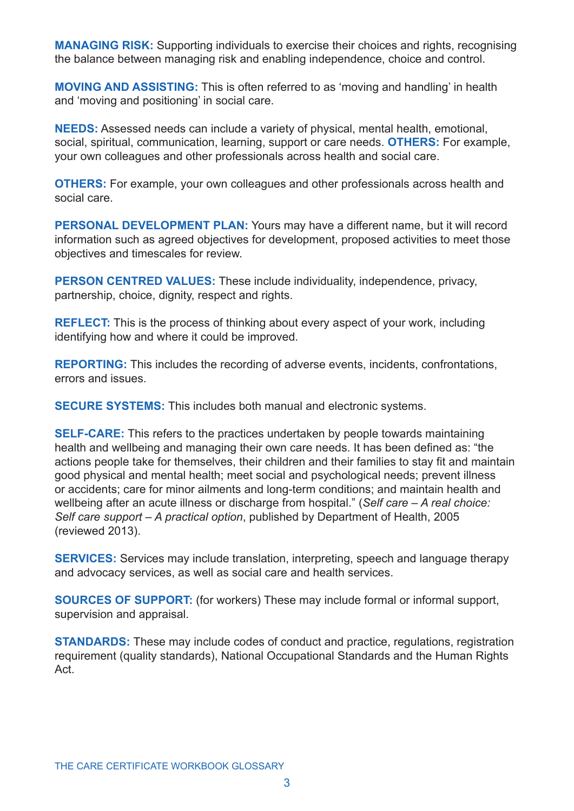**MANAGING RISK:** Supporting individuals to exercise their choices and rights, recognising the balance between managing risk and enabling independence, choice and control.

**MOVING AND ASSISTING:** This is often referred to as 'moving and handling' in health and 'moving and positioning' in social care.

**NEEDS:** Assessed needs can include a variety of physical, mental health, emotional, social, spiritual, communication, learning, support or care needs. **OTHERS:** For example, your own colleagues and other professionals across health and social care.

**OTHERS:** For example, your own colleagues and other professionals across health and social care.

**PERSONAL DEVELOPMENT PLAN:** Yours may have a different name, but it will record information such as agreed objectives for development, proposed activities to meet those objectives and timescales for review.

**PERSON CENTRED VALUES:** These include individuality, independence, privacy, partnership, choice, dignity, respect and rights.

**REFLECT:** This is the process of thinking about every aspect of your work, including identifying how and where it could be improved.

**REPORTING:** This includes the recording of adverse events, incidents, confrontations, errors and issues.

**SECURE SYSTEMS:** This includes both manual and electronic systems.

**SELF-CARE:** This refers to the practices undertaken by people towards maintaining health and wellbeing and managing their own care needs. It has been defined as: "the actions people take for themselves, their children and their families to stay fit and maintain good physical and mental health; meet social and psychological needs; prevent illness or accidents; care for minor ailments and long-term conditions; and maintain health and wellbeing after an acute illness or discharge from hospital." (*Self care – A real choice: Self care support – A practical option*, published by Department of Health, 2005 (reviewed 2013).

**SERVICES:** Services may include translation, interpreting, speech and language therapy and advocacy services, as well as social care and health services.

**SOURCES OF SUPPORT:** (for workers) These may include formal or informal support, supervision and appraisal.

**STANDARDS:** These may include codes of conduct and practice, regulations, registration requirement (quality standards), National Occupational Standards and the Human Rights Act.